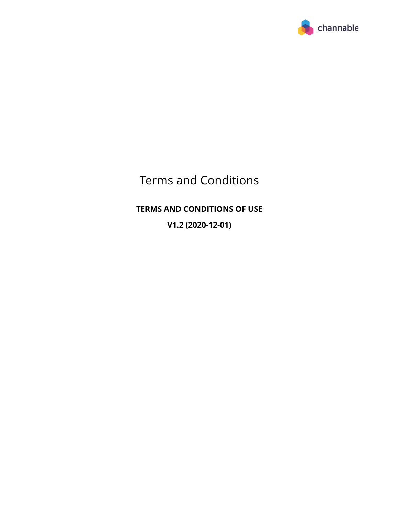

# Terms and Conditions

# **TERMS AND CONDITIONS OF USE**

**V1.2 (2020-12-01)**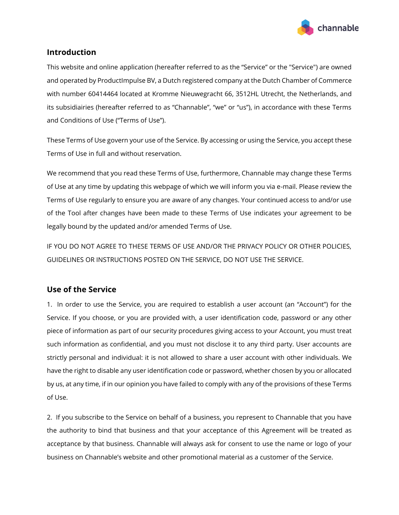

# **Introduction**

This website and online application (hereafter referred to as the "Service" or the "Service") are owned and operated by ProductImpulse BV, a Dutch registered company at the Dutch Chamber of Commerce with number 60414464 located at Kromme Nieuwegracht 66, 3512HL Utrecht, the Netherlands, and its subsidiairies (hereafter referred to as "Channable", "we" or "us"), in accordance with these Terms and Conditions of Use ("Terms of Use").

These Terms of Use govern your use of the Service. By accessing or using the Service, you accept these Terms of Use in full and without reservation.

We recommend that you read these Terms of Use, furthermore, Channable may change these Terms of Use at any time by updating this webpage of which we will inform you via e-mail. Please review the Terms of Use regularly to ensure you are aware of any changes. Your continued access to and/or use of the Tool after changes have been made to these Terms of Use indicates your agreement to be legally bound by the updated and/or amended Terms of Use.

IF YOU DO NOT AGREE TO THESE TERMS OF USE AND/OR THE PRIVACY POLICY OR OTHER POLICIES, GUIDELINES OR INSTRUCTIONS POSTED ON THE SERVICE, DO NOT USE THE SERVICE.

## **Use of the Service**

1. In order to use the Service, you are required to establish a user account (an "Account") for the Service. If you choose, or you are provided with, a user identification code, password or any other piece of information as part of our security procedures giving access to your Account, you must treat such information as confidential, and you must not disclose it to any third party. User accounts are strictly personal and individual: it is not allowed to share a user account with other individuals. We have the right to disable any user identification code or password, whether chosen by you or allocated by us, at any time, if in our opinion you have failed to comply with any of the provisions of these Terms of Use.

2. If you subscribe to the Service on behalf of a business, you represent to Channable that you have the authority to bind that business and that your acceptance of this Agreement will be treated as acceptance by that business. Channable will always ask for consent to use the name or logo of your business on Channable's website and other promotional material as a customer of the Service.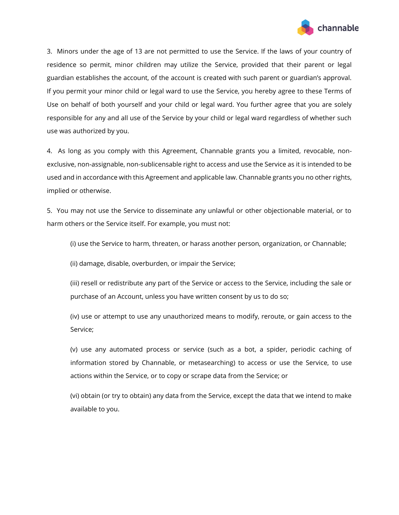

3. Minors under the age of 13 are not permitted to use the Service. If the laws of your country of residence so permit, minor children may utilize the Service, provided that their parent or legal guardian establishes the account, of the account is created with such parent or guardian's approval. If you permit your minor child or legal ward to use the Service, you hereby agree to these Terms of Use on behalf of both yourself and your child or legal ward. You further agree that you are solely responsible for any and all use of the Service by your child or legal ward regardless of whether such use was authorized by you.

4. As long as you comply with this Agreement, Channable grants you a limited, revocable, nonexclusive, non-assignable, non-sublicensable right to access and use the Service as it is intended to be used and in accordance with this Agreement and applicable law. Channable grants you no other rights, implied or otherwise.

5. You may not use the Service to disseminate any unlawful or other objectionable material, or to harm others or the Service itself. For example, you must not:

(i) use the Service to harm, threaten, or harass another person, organization, or Channable;

(ii) damage, disable, overburden, or impair the Service;

(iii) resell or redistribute any part of the Service or access to the Service, including the sale or purchase of an Account, unless you have written consent by us to do so;

(iv) use or attempt to use any unauthorized means to modify, reroute, or gain access to the Service;

(v) use any automated process or service (such as a bot, a spider, periodic caching of information stored by Channable, or metasearching) to access or use the Service, to use actions within the Service, or to copy or scrape data from the Service; or

(vi) obtain (or try to obtain) any data from the Service, except the data that we intend to make available to you.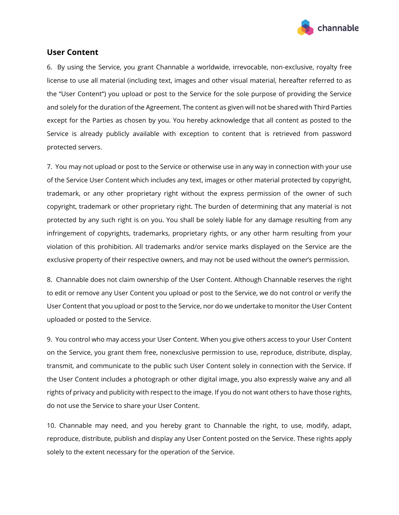

#### **User Content**

6. By using the Service, you grant Channable a worldwide, irrevocable, non-exclusive, royalty free license to use all material (including text, images and other visual material, hereafter referred to as the "User Content") you upload or post to the Service for the sole purpose of providing the Service and solely for the duration of the Agreement. The content as given will not be shared with Third Parties except for the Parties as chosen by you. You hereby acknowledge that all content as posted to the Service is already publicly available with exception to content that is retrieved from password protected servers.

7. You may not upload or post to the Service or otherwise use in any way in connection with your use of the Service User Content which includes any text, images or other material protected by copyright, trademark, or any other proprietary right without the express permission of the owner of such copyright, trademark or other proprietary right. The burden of determining that any material is not protected by any such right is on you. You shall be solely liable for any damage resulting from any infringement of copyrights, trademarks, proprietary rights, or any other harm resulting from your violation of this prohibition. All trademarks and/or service marks displayed on the Service are the exclusive property of their respective owners, and may not be used without the owner's permission.

8. Channable does not claim ownership of the User Content. Although Channable reserves the right to edit or remove any User Content you upload or post to the Service, we do not control or verify the User Content that you upload or post to the Service, nor do we undertake to monitor the User Content uploaded or posted to the Service.

9. You control who may access your User Content. When you give others access to your User Content on the Service, you grant them free, nonexclusive permission to use, reproduce, distribute, display, transmit, and communicate to the public such User Content solely in connection with the Service. If the User Content includes a photograph or other digital image, you also expressly waive any and all rights of privacy and publicity with respect to the image. If you do not want others to have those rights, do not use the Service to share your User Content.

10. Channable may need, and you hereby grant to Channable the right, to use, modify, adapt, reproduce, distribute, publish and display any User Content posted on the Service. These rights apply solely to the extent necessary for the operation of the Service.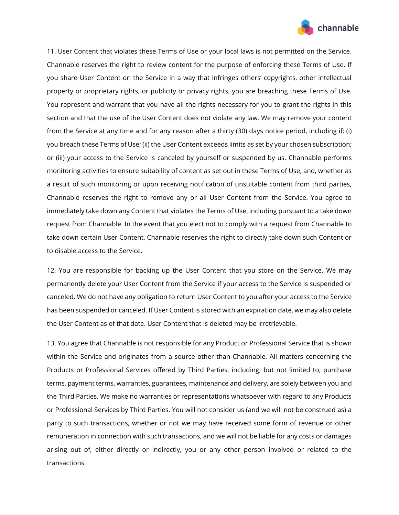

11. User Content that violates these Terms of Use or your local laws is not permitted on the Service. Channable reserves the right to review content for the purpose of enforcing these Terms of Use. If you share User Content on the Service in a way that infringes others' copyrights, other intellectual property or proprietary rights, or publicity or privacy rights, you are breaching these Terms of Use. You represent and warrant that you have all the rights necessary for you to grant the rights in this section and that the use of the User Content does not violate any law. We may remove your content from the Service at any time and for any reason after a thirty (30) days notice period, including if: (i) you breach these Terms of Use; (ii) the User Content exceeds limits as set by your chosen subscription; or (iii) your access to the Service is canceled by yourself or suspended by us. Channable performs monitoring activities to ensure suitability of content as set out in these Terms of Use, and, whether as a result of such monitoring or upon receiving notification of unsuitable content from third parties, Channable reserves the right to remove any or all User Content from the Service. You agree to immediately take down any Content that violates the Terms of Use, including pursuant to a take down request from Channable. In the event that you elect not to comply with a request from Channable to take down certain User Content, Channable reserves the right to directly take down such Content or to disable access to the Service.

12. You are responsible for backing up the User Content that you store on the Service. We may permanently delete your User Content from the Service if your access to the Service is suspended or canceled. We do not have any obligation to return User Content to you after your access to the Service has been suspended or canceled. If User Content is stored with an expiration date, we may also delete the User Content as of that date. User Content that is deleted may be irretrievable.

13. You agree that Channable is not responsible for any Product or Professional Service that is shown within the Service and originates from a source other than Channable. All matters concerning the Products or Professional Services offered by Third Parties, including, but not limited to, purchase terms, payment terms, warranties, guarantees, maintenance and delivery, are solely between you and the Third Parties. We make no warranties or representations whatsoever with regard to any Products or Professional Services by Third Parties. You will not consider us (and we will not be construed as) a party to such transactions, whether or not we may have received some form of revenue or other remuneration in connection with such transactions, and we will not be liable for any costs or damages arising out of, either directly or indirectly, you or any other person involved or related to the transactions.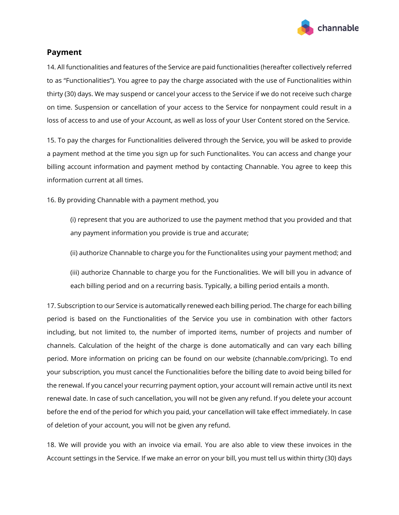

#### **Payment**

14. All functionalities and features of the Service are paid functionalities (hereafter collectively referred to as "Functionalities"). You agree to pay the charge associated with the use of Functionalities within thirty (30) days. We may suspend or cancel your access to the Service if we do not receive such charge on time. Suspension or cancellation of your access to the Service for nonpayment could result in a loss of access to and use of your Account, as well as loss of your User Content stored on the Service.

15. To pay the charges for Functionalities delivered through the Service, you will be asked to provide a payment method at the time you sign up for such Functionalites. You can access and change your billing account information and payment method by contacting Channable. You agree to keep this information current at all times.

16. By providing Channable with a payment method, you

(i) represent that you are authorized to use the payment method that you provided and that any payment information you provide is true and accurate;

(ii) authorize Channable to charge you for the Functionalites using your payment method; and

(iii) authorize Channable to charge you for the Functionalities. We will bill you in advance of each billing period and on a recurring basis. Typically, a billing period entails a month.

17. Subscription to our Service is automatically renewed each billing period. The charge for each billing period is based on the Functionalities of the Service you use in combination with other factors including, but not limited to, the number of imported items, number of projects and number of channels. Calculation of the height of the charge is done automatically and can vary each billing period. More information on pricing can be found on our website (channable.com/pricing). To end your subscription, you must cancel the Functionalities before the billing date to avoid being billed for the renewal. If you cancel your recurring payment option, your account will remain active until its next renewal date. In case of such cancellation, you will not be given any refund. If you delete your account before the end of the period for which you paid, your cancellation will take effect immediately. In case of deletion of your account, you will not be given any refund.

18. We will provide you with an invoice via email. You are also able to view these invoices in the Account settings in the Service. If we make an error on your bill, you must tell us within thirty (30) days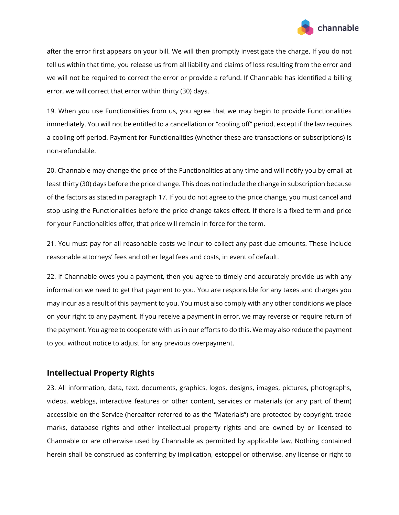

after the error first appears on your bill. We will then promptly investigate the charge. If you do not tell us within that time, you release us from all liability and claims of loss resulting from the error and we will not be required to correct the error or provide a refund. If Channable has identified a billing error, we will correct that error within thirty (30) days.

19. When you use Functionalities from us, you agree that we may begin to provide Functionalities immediately. You will not be entitled to a cancellation or "cooling off" period, except if the law requires a cooling off period. Payment for Functionalities (whether these are transactions or subscriptions) is non-refundable.

20. Channable may change the price of the Functionalities at any time and will notify you by email at least thirty (30) days before the price change. This does not include the change in subscription because of the factors as stated in paragraph 17. If you do not agree to the price change, you must cancel and stop using the Functionalities before the price change takes effect. If there is a fixed term and price for your Functionalities offer, that price will remain in force for the term.

21. You must pay for all reasonable costs we incur to collect any past due amounts. These include reasonable attorneys' fees and other legal fees and costs, in event of default.

22. If Channable owes you a payment, then you agree to timely and accurately provide us with any information we need to get that payment to you. You are responsible for any taxes and charges you may incur as a result of this payment to you. You must also comply with any other conditions we place on your right to any payment. If you receive a payment in error, we may reverse or require return of the payment. You agree to cooperate with us in our efforts to do this. We may also reduce the payment to you without notice to adjust for any previous overpayment.

# **Intellectual Property Rights**

23. All information, data, text, documents, graphics, logos, designs, images, pictures, photographs, videos, weblogs, interactive features or other content, services or materials (or any part of them) accessible on the Service (hereafter referred to as the "Materials") are protected by copyright, trade marks, database rights and other intellectual property rights and are owned by or licensed to Channable or are otherwise used by Channable as permitted by applicable law. Nothing contained herein shall be construed as conferring by implication, estoppel or otherwise, any license or right to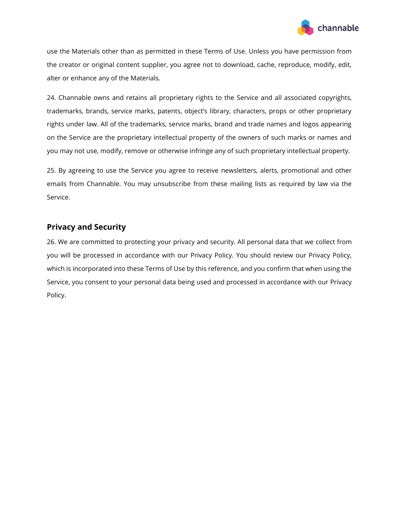

use the Materials other than as permitted in these Terms of Use. Unless you have permission from the creator or original content supplier, you agree not to download, cache, reproduce, modify, edit, alter or enhance any of the Materials.

24. Channable owns and retains all proprietary rights to the Service and all associated copyrights, trademarks, brands, service marks, patents, object's library, characters, props or other proprietary rights under law. All of the trademarks, service marks, brand and trade names and logos appearing on the Service are the proprietary intellectual property of the owners of such marks or names and you may not use, modify, remove or otherwise infringe any of such proprietary intellectual property.

25. By agreeing to use the Service you agree to receive newsletters, alerts, promotional and other emails from Channable. You may unsubscribe from these mailing lists as required by law via the Service.

# **Privacy and Security**

26. We are committed to protecting your privacy and security. All personal data that we collect from you will be processed in accordance with our Privacy Policy. You should review our Privacy Policy, which is incorporated into these Terms of Use by this reference, and you confirm that when using the Service, you consent to your personal data being used and processed in accordance with our Privacy Policy.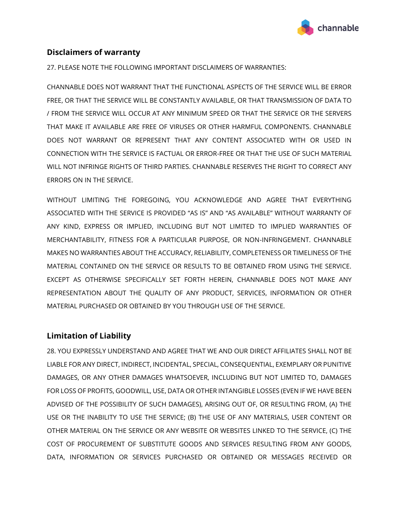

# **Disclaimers of warranty**

27. PLEASE NOTE THE FOLLOWING IMPORTANT DISCLAIMERS OF WARRANTIES:

CHANNABLE DOES NOT WARRANT THAT THE FUNCTIONAL ASPECTS OF THE SERVICE WILL BE ERROR FREE, OR THAT THE SERVICE WILL BE CONSTANTLY AVAILABLE, OR THAT TRANSMISSION OF DATA TO / FROM THE SERVICE WILL OCCUR AT ANY MINIMUM SPEED OR THAT THE SERVICE OR THE SERVERS THAT MAKE IT AVAILABLE ARE FREE OF VIRUSES OR OTHER HARMFUL COMPONENTS. CHANNABLE DOES NOT WARRANT OR REPRESENT THAT ANY CONTENT ASSOCIATED WITH OR USED IN CONNECTION WITH THE SERVICE IS FACTUAL OR ERROR-FREE OR THAT THE USE OF SUCH MATERIAL WILL NOT INFRINGE RIGHTS OF THIRD PARTIES. CHANNABLE RESERVES THE RIGHT TO CORRECT ANY ERRORS ON IN THE SERVICE.

WITHOUT LIMITING THE FOREGOING, YOU ACKNOWLEDGE AND AGREE THAT EVERYTHING ASSOCIATED WITH THE SERVICE IS PROVIDED "AS IS" AND "AS AVAILABLE" WITHOUT WARRANTY OF ANY KIND, EXPRESS OR IMPLIED, INCLUDING BUT NOT LIMITED TO IMPLIED WARRANTIES OF MERCHANTABILITY, FITNESS FOR A PARTICULAR PURPOSE, OR NON-INFRINGEMENT. CHANNABLE MAKES NO WARRANTIES ABOUT THE ACCURACY, RELIABILITY, COMPLETENESS OR TIMELINESS OF THE MATERIAL CONTAINED ON THE SERVICE OR RESULTS TO BE OBTAINED FROM USING THE SERVICE. EXCEPT AS OTHERWISE SPECIFICALLY SET FORTH HEREIN, CHANNABLE DOES NOT MAKE ANY REPRESENTATION ABOUT THE QUALITY OF ANY PRODUCT, SERVICES, INFORMATION OR OTHER MATERIAL PURCHASED OR OBTAINED BY YOU THROUGH USE OF THE SERVICE.

## **Limitation of Liability**

28. YOU EXPRESSLY UNDERSTAND AND AGREE THAT WE AND OUR DIRECT AFFILIATES SHALL NOT BE LIABLE FOR ANY DIRECT, INDIRECT, INCIDENTAL, SPECIAL, CONSEQUENTIAL, EXEMPLARY OR PUNITIVE DAMAGES, OR ANY OTHER DAMAGES WHATSOEVER, INCLUDING BUT NOT LIMITED TO, DAMAGES FOR LOSS OF PROFITS, GOODWILL, USE, DATA OR OTHER INTANGIBLE LOSSES (EVEN IF WE HAVE BEEN ADVISED OF THE POSSIBILITY OF SUCH DAMAGES), ARISING OUT OF, OR RESULTING FROM, (A) THE USE OR THE INABILITY TO USE THE SERVICE; (B) THE USE OF ANY MATERIALS, USER CONTENT OR OTHER MATERIAL ON THE SERVICE OR ANY WEBSITE OR WEBSITES LINKED TO THE SERVICE, (C) THE COST OF PROCUREMENT OF SUBSTITUTE GOODS AND SERVICES RESULTING FROM ANY GOODS, DATA, INFORMATION OR SERVICES PURCHASED OR OBTAINED OR MESSAGES RECEIVED OR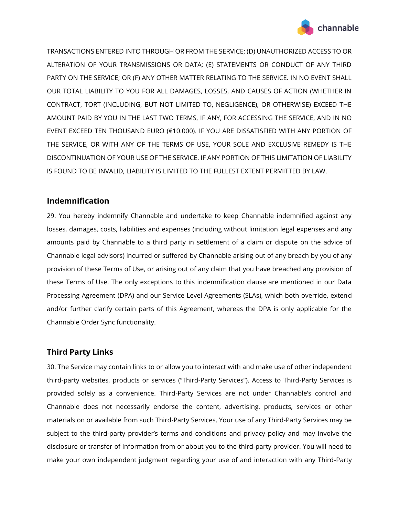

TRANSACTIONS ENTERED INTO THROUGH OR FROM THE SERVICE; (D) UNAUTHORIZED ACCESS TO OR ALTERATION OF YOUR TRANSMISSIONS OR DATA; (E) STATEMENTS OR CONDUCT OF ANY THIRD PARTY ON THE SERVICE; OR (F) ANY OTHER MATTER RELATING TO THE SERVICE. IN NO EVENT SHALL OUR TOTAL LIABILITY TO YOU FOR ALL DAMAGES, LOSSES, AND CAUSES OF ACTION (WHETHER IN CONTRACT, TORT (INCLUDING, BUT NOT LIMITED TO, NEGLIGENCE), OR OTHERWISE) EXCEED THE AMOUNT PAID BY YOU IN THE LAST TWO TERMS, IF ANY, FOR ACCESSING THE SERVICE, AND IN NO EVENT EXCEED TEN THOUSAND EURO (€10.000). IF YOU ARE DISSATISFIED WITH ANY PORTION OF THE SERVICE, OR WITH ANY OF THE TERMS OF USE, YOUR SOLE AND EXCLUSIVE REMEDY IS THE DISCONTINUATION OF YOUR USE OF THE SERVICE. IF ANY PORTION OF THIS LIMITATION OF LIABILITY IS FOUND TO BE INVALID, LIABILITY IS LIMITED TO THE FULLEST EXTENT PERMITTED BY LAW.

## **Indemnification**

29. You hereby indemnify Channable and undertake to keep Channable indemnified against any losses, damages, costs, liabilities and expenses (including without limitation legal expenses and any amounts paid by Channable to a third party in settlement of a claim or dispute on the advice of Channable legal advisors) incurred or suffered by Channable arising out of any breach by you of any provision of these Terms of Use, or arising out of any claim that you have breached any provision of these Terms of Use. The only exceptions to this indemnification clause are mentioned in our Data Processing Agreement (DPA) and our Service Level Agreements (SLAs), which both override, extend and/or further clarify certain parts of this Agreement, whereas the DPA is only applicable for the Channable Order Sync functionality.

# **Third Party Links**

30. The Service may contain links to or allow you to interact with and make use of other independent third-party websites, products or services ("Third-Party Services"). Access to Third-Party Services is provided solely as a convenience. Third-Party Services are not under Channable's control and Channable does not necessarily endorse the content, advertising, products, services or other materials on or available from such Third-Party Services. Your use of any Third-Party Services may be subject to the third-party provider's terms and conditions and privacy policy and may involve the disclosure or transfer of information from or about you to the third-party provider. You will need to make your own independent judgment regarding your use of and interaction with any Third-Party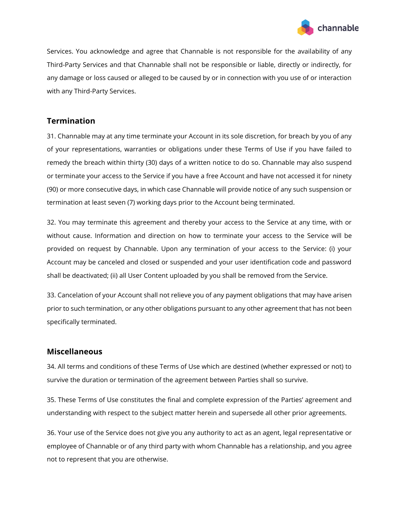

Services. You acknowledge and agree that Channable is not responsible for the availability of any Third-Party Services and that Channable shall not be responsible or liable, directly or indirectly, for any damage or loss caused or alleged to be caused by or in connection with you use of or interaction with any Third-Party Services.

## **Termination**

31. Channable may at any time terminate your Account in its sole discretion, for breach by you of any of your representations, warranties or obligations under these Terms of Use if you have failed to remedy the breach within thirty (30) days of a written notice to do so. Channable may also suspend or terminate your access to the Service if you have a free Account and have not accessed it for ninety (90) or more consecutive days, in which case Channable will provide notice of any such suspension or termination at least seven (7) working days prior to the Account being terminated.

32. You may terminate this agreement and thereby your access to the Service at any time, with or without cause. Information and direction on how to terminate your access to the Service will be provided on request by Channable. Upon any termination of your access to the Service: (i) your Account may be canceled and closed or suspended and your user identification code and password shall be deactivated; (ii) all User Content uploaded by you shall be removed from the Service.

33. Cancelation of your Account shall not relieve you of any payment obligations that may have arisen prior to such termination, or any other obligations pursuant to any other agreement that has not been specifically terminated.

#### **Miscellaneous**

34. All terms and conditions of these Terms of Use which are destined (whether expressed or not) to survive the duration or termination of the agreement between Parties shall so survive.

35. These Terms of Use constitutes the final and complete expression of the Parties' agreement and understanding with respect to the subject matter herein and supersede all other prior agreements.

36. Your use of the Service does not give you any authority to act as an agent, legal representative or employee of Channable or of any third party with whom Channable has a relationship, and you agree not to represent that you are otherwise.